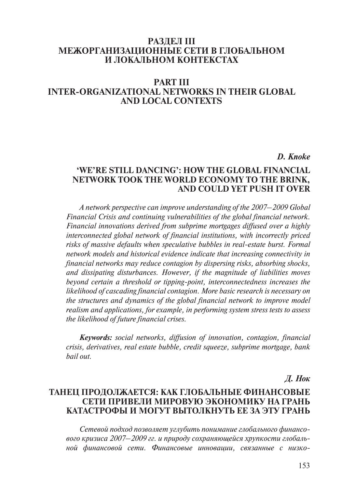## **Раздел III Межорганизационные сети в глобальном и локальном контекстах**

# **Part III inter-organizational networks in their global and local contexts**

### *D. Knoke*

## **'We're Still Dancing': How the Global Financial Network Took the World Economy to the Brink, and Could Yet Push It Over**

*A network perspective can improve understanding of the 2007–2009 Global Financial Crisis and continuing vulnerabilities of the global financial network. Financial innovations derived from subprime mortgages diffused over a highly interconnected global network of financial institutions, with incorrectly priced risks of massive defaults when speculative bubbles in real-estate burst. Formal network models and historical evidence indicate that increasing connectivity in financial networks may reduce contagion by dispersing risks, absorbing shocks, and dissipating disturbances. However, if the magnitude of liabilities moves beyond certain a threshold or tipping-point, interconnectedness increases the likelihood of cascading financial contagion. More basic research is necessary on the structures and dynamics of the global financial network to improve model realism and applications, for example, in performing system stress tests to assess the likelihood of future financial crises.*

*Keywords: social networks, diffusion of innovation, contagion, financial crisis, derivatives, real estate bubble, credit squeeze, subprime mortgage, bank bail out.*

*Д. Нок* 

## **Танец продолжается: как глобальные финансовые сети привели мировую экономику на грань катастрофы и могут вытолкнуть ее за эту грань**

*Сетевой подход позволяет углубить понимание глобального финансового кризиса 2007–2009 гг. и природу сохраняющейся хрупкости глобальной финансовой сети. Финансовые инновации, связанные с низко-*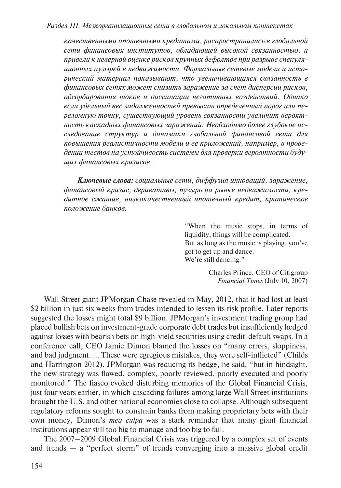*качественными ипотечными кредитами, распространились в глобальной сети финансовых институтов, обладающей высокой связанностью, и привели к неверной оценке рисков крупных дефолтов при разрыве спекуляционных пузырей в недвижимости. Формальные сетевые модели и исторический материал показывают, что увеличивающаяся связанность в финансовых сетях может снизить заражение за счет дисперсии рисков, абсорбирования шоков и диссипации негативных воздействий. Однако если удельный вес задолженностей превысит определенный порог или переломную точку, существующий уровень связанности увеличит вероятность каскадных финансовых заражений. Необходимо более глубокое исследование структур и динамики глобальной финансовой сети для повышения реалистичности модели и ее приложений, например, в проведении тестов на устойчивость системы для проверки вероятности будущих финансовых кризисов.* 

*Ключевые слова: социальные сети, диффузия инноваций, заражение, финансовый кризис, деривативы, пузырь на рынке недвижимости, кредитное сжатие, низкокачественный ипотечный кредит, критическое положение банков.* 

> "When the music stops, in terms of liquidity, things will be complicated. But as long as the music is playing, you've got to get up and dance. We're still dancing."

> > Charles Prince, CEO of Citigroup *Financial Times* (July 10, 2007)

Wall Street giant JPMorgan Chase revealed in May, 2012, that it had lost at least \$2 billion in just six weeks from trades intended to lessen its risk profile. Later reports suggested the losses might total \$9 billion. JPMorgan's investment trading group had placed bullish bets on investment-grade corporate debt trades but insufficiently hedged against losses with bearish bets on high-yield securities using credit-default swaps. In a conference call, CEO Jamie Dimon blamed the losses on "many errors, sloppiness, and bad judgment. … These were egregious mistakes, they were self-inflicted" (Childs and Harrington 2012). JPMorgan was reducing its hedge, he said, "but in hindsight, the new strategy was flawed, complex, poorly reviewed, poorly executed and poorly monitored." The fiasco evoked disturbing memories of the Global Financial Crisis, just four years earlier, in which cascading failures among large Wall Street institutions brought the U.S. and other national economies close to collapse. Although subsequent regulatory reforms sought to constrain banks from making proprietary bets with their own money, Dimon's *mea culpa* was a stark reminder that many giant financial institutions appear still too big to manage and too big to fail.

The 2007–2009 Global Financial Crisis was triggered by a complex set of events and trends — a "perfect storm" of trends converging into a massive global credit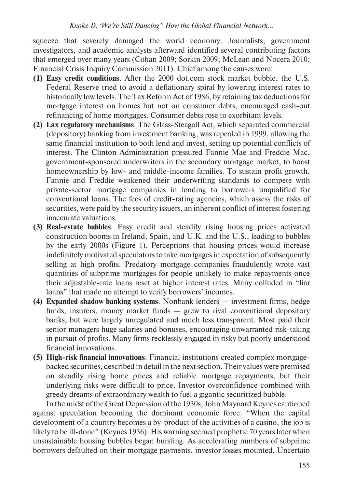squeeze that severely damaged the world economy. Journalists, government investigators, and academic analysts afterward identified several contributing factors that emerged over many years (Cohan 2009; Sorkin 2009; McLean and Nocera 2010; Financial Crisis Inquiry Commission 2011). Chief among the causes were:

- **(1) Easy credit conditions**. After the 2000 dot.com stock market bubble, the U.S. Federal Reserve tried to avoid a deflationary spiral by lowering interest rates to historically low levels. The Tax Reform Act of 1986, by retaining tax deductions for mortgage interest on homes but not on consumer debts, encouraged cash-out refinancing of home mortgages. Consumer debts rose to exorbitant levels.
- **(2) Lax regulatory mechanisms**. The Glass-Steagall Act, which separated commercial (depository) banking from investment banking, was repealed in 1999, allowing the same financial institution to both lend and invest, setting up potential conflicts of interest. The Clinton Administration pressured Fannie Mae and Freddie Mac, government-sponsored underwriters in the secondary mortgage market, to boost homeownership by low- and middle-income families. To sustain profit growth, Fannie and Freddie weakened their underwriting standards to compete with private-sector mortgage companies in lending to borrowers unqualified for conventional loans. The fees of credit-rating agencies, which assess the risks of securities, were paid by the security issuers, an inherent conflict of interest fostering inaccurate valuations.
- **(3) Real-estate bubbles**. Easy credit and steadily rising housing prices activated construction booms in Ireland, Spain, and U.K. and the U.S., leading to bubbles by the early 2000s (Figure 1). Perceptions that housing prices would increase indefinitely motivated speculators to take mortgages in expectation of subsequently selling at high profits. Predatory mortgage companies fraudulently wrote vast quantities of subprime mortgages for people unlikely to make repayments once their adjustable-rate loans reset at higher interest rates. Many colluded in "liar loans" that made no attempt to verify borrowers' incomes.
- **(4) Expanded shadow banking systems**. Nonbank lenders investment firms, hedge funds, insurers, money market funds — grew to rival conventional depository banks, but were largely unregulated and much less transparent. Most paid their senior managers huge salaries and bonuses, encouraging unwarranted risk-taking in pursuit of profits. Many firms recklessly engaged in risky but poorly understood financial innovations.
- **(5) High-risk financial innovations**. Financial institutions created complex mortgagebacked securities, described in detail in the next section. Their values were premised on steadily rising home prices and reliable mortgage repayments, but their underlying risks were difficult to price. Investor overconfidence combined with greedy dreams of extraordinary wealth to fuel a gigantic securitized bubble.

In the midst of the Great Depression of the 1930s, John Maynard Keynes cautioned against speculation becoming the dominant economic force: "When the capital development of a country becomes a by-product of the activities of a casino, the job is likely to be ill-done" (Keynes 1936). His warning seemed prophetic 70 years later when unsustainable housing bubbles began bursting. As accelerating numbers of subprime borrowers defaulted on their mortgage payments, investor losses mounted. Uncertain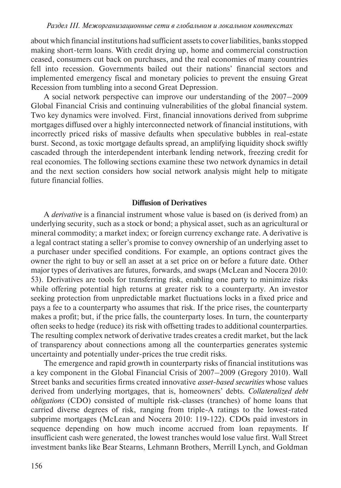about which financial institutions had sufficient assets to cover liabilities, banks stopped making short-term loans. With credit drying up, home and commercial construction ceased, consumers cut back on purchases, and the real economies of many countries fell into recession. Governments bailed out their nations' financial sectors and implemented emergency fiscal and monetary policies to prevent the ensuing Great Recession from tumbling into a second Great Depression.

A social network perspective can improve our understanding of the 2007–2009 Global Financial Crisis and continuing vulnerabilities of the global financial system. Two key dynamics were involved. First, financial innovations derived from subprime mortgages diffused over a highly interconnected network of financial institutions, with incorrectly priced risks of massive defaults when speculative bubbles in real-estate burst. Second, as toxic mortgage defaults spread, an amplifying liquidity shock swiftly cascaded through the interdependent interbank lending network, freezing credit for real economies. The following sections examine these two network dynamics in detail and the next section considers how social network analysis might help to mitigate future financial follies.

### **Diffusion of Derivatives**

A *derivative* is a financial instrument whose value is based on (is derived from) an underlying security, such as a stock or bond; a physical asset, such as an agricultural or mineral commodity; a market index; or foreign currency exchange rate. A derivative is a legal contract stating a seller's promise to convey ownership of an underlying asset to a purchaser under specified conditions. For example, an options contract gives the owner the right to buy or sell an asset at a set price on or before a future date. Other major types of derivatives are futures, forwards, and swaps (McLean and Nocera 2010: 53). Derivatives are tools for transferring risk, enabling one party to minimize risks while offering potential high returns at greater risk to a counterparty. An investor seeking protection from unpredictable market fluctuations locks in a fixed price and pays a fee to a counterparty who assumes that risk. If the price rises, the counterparty makes a profit; but, if the price falls, the counterparty loses. In turn, the counterparty often seeks to hedge (reduce) its risk with offsetting trades to additional counterparties. The resulting complex network of derivative trades creates a credit market, but the lack of transparency about connections among all the counterparties generates systemic uncertainty and potentially under-prices the true credit risks.

The emergence and rapid growth in counterparty risks of financial institutions was a key component in the Global Financial Crisis of 2007–2009 (Gregory 2010). Wall Street banks and securities firms created innovative *asset-based securities* whose values derived from underlying mortgages, that is, homeowners' debts. *Collateralized debt obligations* (CDO) consisted of multiple risk-classes (tranches) of home loans that carried diverse degrees of risk, ranging from triple-A ratings to the lowest-rated subprime mortgages (McLean and Nocera 2010: 119-122). CDOs paid investors in sequence depending on how much income accrued from loan repayments. If insufficient cash were generated, the lowest tranches would lose value first. Wall Street investment banks like Bear Stearns, Lehmann Brothers, Merrill Lynch, and Goldman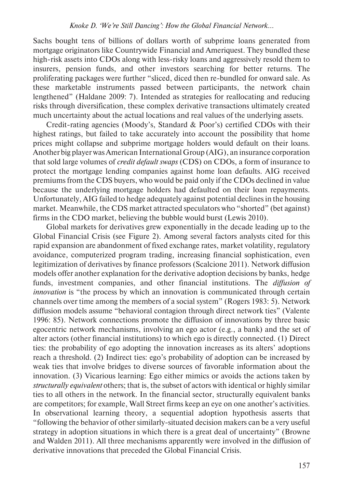Sachs bought tens of billions of dollars worth of subprime loans generated from mortgage originators like Countrywide Financial and Ameriquest. They bundled these high-risk assets into CDOs along with less-risky loans and aggressively resold them to insurers, pension funds, and other investors searching for better returns. The proliferating packages were further "sliced, diced then re-bundled for onward sale. As these marketable instruments passed between participants, the network chain lengthened" (Haldane 2009: 7). Intended as strategies for reallocating and reducing risks through diversification, these complex derivative transactions ultimately created much uncertainty about the actual locations and real values of the underlying assets.

Credit-rating agencies (Moody's, Standard & Poor's) certified CDOs with their highest ratings, but failed to take accurately into account the possibility that home prices might collapse and subprime mortgage holders would default on their loans. Another big player was American International Group (AIG), an insurance corporation that sold large volumes of *credit default swaps* (CDS) on CDOs, a form of insurance to protect the mortgage lending companies against home loan defaults. AIG received premiums from the CDS buyers, who would be paid only if the CDOs declined in value because the underlying mortgage holders had defaulted on their loan repayments. Unfortunately, AIG failed to hedge adequately against potential declines in the housing market. Meanwhile, the CDS market attracted speculators who "shorted" (bet against) firms in the CDO market, believing the bubble would burst (Lewis 2010).

Global markets for derivatives grew exponentially in the decade leading up to the Global Financial Crisis (see Figure 2). Among several factors analysts cited for this rapid expansion are abandonment of fixed exchange rates, market volatility, regulatory avoidance, computerized program trading, increasing financial sophistication, even legitimization of derivatives by finance professors (Scalcione 2011). Network diffusion models offer another explanation for the derivative adoption decisions by banks, hedge funds, investment companies, and other financial institutions. The *diffusion of innovation* is "the process by which an innovation is communicated through certain channels over time among the members of a social system" (Rogers 1983: 5). Network diffusion models assume "behavioral contagion through direct network ties" (Valente 1996: 85). Network connections promote the diffusion of innovations by three basic egocentric network mechanisms, involving an ego actor (e.g., a bank) and the set of alter actors (other financial institutions) to which ego is directly connected. (1) Direct ties: the probability of ego adopting the innovation increases as its alters' adoptions reach a threshold. (2) Indirect ties: ego's probability of adoption can be increased by weak ties that involve bridges to diverse sources of favorable information about the innovation. (3) Vicarious learning: Ego either mimics or avoids the actions taken by *structurally equivalent* others; that is, the subset of actors with identical or highly similar ties to all others in the network. In the financial sector, structurally equivalent banks are competitors; for example, Wall Street firms keep an eye on one another's activities. In observational learning theory, a sequential adoption hypothesis asserts that "following the behavior of other similarly-situated decision makers can be a very useful strategy in adoption situations in which there is a great deal of uncertainty" (Browne and Walden 2011). All three mechanisms apparently were involved in the diffusion of derivative innovations that preceded the Global Financial Crisis.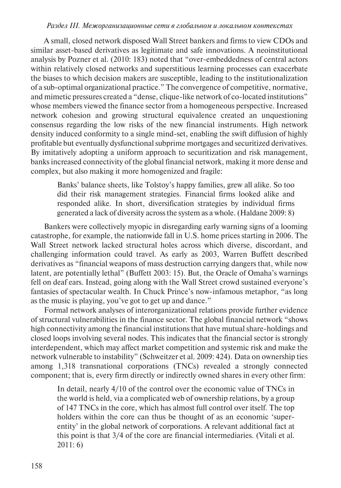#### *Раздел iii. Межорганизационные сети в глобальном и локальном контекстах*

A small, closed network disposed Wall Street bankers and firms to view CDOs and similar asset-based derivatives as legitimate and safe innovations. A neoinstitutional analysis by Pozner et al. (2010: 183) noted that "over-embeddedness of central actors within relatively closed networks and superstitious learning processes can exacerbate the biases to which decision makers are susceptible, leading to the institutionalization of a sub-optimal organizational practice." The convergence of competitive, normative, and mimetic pressures created a "dense, clique-like network of co-located institutions" whose members viewed the finance sector from a homogeneous perspective. Increased network cohesion and growing structural equivalence created an unquestioning consensus regarding the low risks of the new financial instruments. High network density induced conformity to a single mind-set, enabling the swift diffusion of highly profitable but eventually dysfunctional subprime mortgages and securitized derivatives. By imitatively adopting a uniform approach to securitization and risk management, banks increased connectivity of the global financial network, making it more dense and complex, but also making it more homogenized and fragile:

Banks' balance sheets, like Tolstoy's happy families, grew all alike. So too did their risk management strategies. Financial firms looked alike and responded alike. In short, diversification strategies by individual firms generated a lack of diversity across the system as a whole. (Haldane 2009: 8)

Bankers were collectively myopic in disregarding early warning signs of a looming catastrophe, for example, the nationwide fall in U.S. home prices starting in 2006. The Wall Street network lacked structural holes across which diverse, discordant, and challenging information could travel. As early as 2003, Warren Buffett described derivatives as "financial weapons of mass destruction carrying dangers that, while now latent, are potentially lethal" (Buffett 2003: 15). But, the Oracle of Omaha's warnings fell on deaf ears. Instead, going along with the Wall Street crowd sustained everyone's fantasies of spectacular wealth. In Chuck Prince's now-infamous metaphor, "as long as the music is playing, you've got to get up and dance."

Formal network analyses of interorganizational relations provide further evidence of structural vulnerabilities in the finance sector. The global financial network "shows high connectivity among the financial institutions that have mutual share-holdings and closed loops involving several nodes. This indicates that the financial sector is strongly interdependent, which may affect market competition and systemic risk and make the network vulnerable to instability" (Schweitzer et al. 2009: 424). Data on ownership ties among 1,318 transnational corporations (TNCs) revealed a strongly connected component; that is, every firm directly or indirectly owned shares in every other firm:

In detail, nearly 4/10 of the control over the economic value of TNCs in the world is held, via a complicated web of ownership relations, by a group of 147 TNCs in the core, which has almost full control over itself. The top holders within the core can thus be thought of as an economic 'superentity' in the global network of corporations. A relevant additional fact at this point is that 3/4 of the core are financial intermediaries. (Vitali et al. 2011: 6)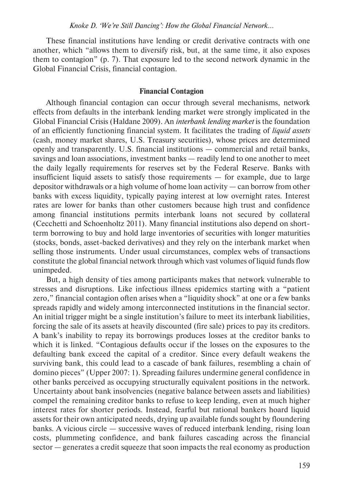These financial institutions have lending or credit derivative contracts with one another, which "allows them to diversify risk, but, at the same time, it also exposes them to contagion" (p. 7). That exposure led to the second network dynamic in the Global Financial Crisis, financial contagion.

#### **Financial Contagion**

Although financial contagion can occur through several mechanisms, network effects from defaults in the interbank lending market were strongly implicated in the Global Financial Crisis (Haldane 2009). An *interbank lending market* is the foundation of an efficiently functioning financial system. It facilitates the trading of *liquid assets* (cash, money market shares, U.S. Treasury securities), whose prices are determined openly and transparently. U.S. financial institutions — commercial and retail banks, savings and loan associations, investment banks — readily lend to one another to meet the daily legally requirements for reserves set by the Federal Reserve. Banks with insufficient liquid assets to satisfy those requirements — for example, due to large depositor withdrawals or a high volume of home loan activity — can borrow from other banks with excess liquidity, typically paying interest at low overnight rates. Interest rates are lower for banks than other customers because high trust and confidence among financial institutions permits interbank loans not secured by collateral (Cecchetti and Schoenholtz 2011). Many financial institutions also depend on shortterm borrowing to buy and hold large inventories of securities with longer maturities (stocks, bonds, asset-backed derivatives) and they rely on the interbank market when selling those instruments. Under usual circumstances, complex webs of transactions constitute the global financial network through which vast volumes of liquid funds flow unimpeded.

But, a high density of ties among participants makes that network vulnerable to stresses and disruptions. Like infectious illness epidemics starting with a "patient zero," financial contagion often arises when a "liquidity shock" at one or a few banks spreads rapidly and widely among interconnected institutions in the financial sector. An initial trigger might be a single institution's failure to meet its interbank liabilities, forcing the sale of its assets at heavily discounted (fire sale) prices to pay its creditors. A bank's inability to repay its borrowings produces losses at the creditor banks to which it is linked. "Contagious defaults occur if the losses on the exposures to the defaulting bank exceed the capital of a creditor. Since every default weakens the surviving bank, this could lead to a cascade of bank failures, resembling a chain of domino pieces" (Upper 2007: 1). Spreading failures undermine general confidence in other banks perceived as occupying structurally equivalent positions in the network. Uncertainty about bank insolvencies (negative balance between assets and liabilities) compel the remaining creditor banks to refuse to keep lending, even at much higher interest rates for shorter periods. Instead, fearful but rational bankers hoard liquid assets for their own anticipated needs, drying up available funds sought by floundering banks. A vicious circle — successive waves of reduced interbank lending, rising loan costs, plummeting confidence, and bank failures cascading across the financial sector — generates a credit squeeze that soon impacts the real economy as production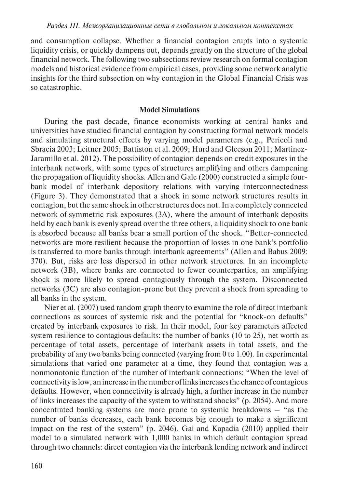and consumption collapse. Whether a financial contagion erupts into a systemic liquidity crisis, or quickly dampens out, depends greatly on the structure of the global financial network. The following two subsections review research on formal contagion models and historical evidence from empirical cases, providing some network analytic insights for the third subsection on why contagion in the Global Financial Crisis was so catastrophic.

### **Model Simulations**

During the past decade, finance economists working at central banks and universities have studied financial contagion by constructing formal network models and simulating structural effects by varying model parameters (e.g., Pericoli and Sbracia 2003; Leitner 2005; Battiston et al. 2009; Hurd and Gleeson 2011; Martinez-Jaramillo et al. 2012). The possibility of contagion depends on credit exposures in the interbank network, with some types of structures amplifying and others dampening the propagation of liquidity shocks. Allen and Gale (2000) constructed a simple fourbank model of interbank depository relations with varying interconnectedness (Figure 3). They demonstrated that a shock in some network structures results in contagion, but the same shock in other structures does not. In a completely connected network of symmetric risk exposures (3A), where the amount of interbank deposits held by each bank is evenly spread over the three others, a liquidity shock to one bank is absorbed because all banks bear a small portion of the shock. "Better-connected networks are more resilient because the proportion of losses in one bank's portfolio is transferred to more banks through interbank agreements" (Allen and Babus 2009: 370). But, risks are less dispersed in other network structures. In an incomplete network (3B), where banks are connected to fewer counterparties, an amplifying shock is more likely to spread contagiously through the system. Disconnected networks (3C) are also contagion-prone but they prevent a shock from spreading to all banks in the system.

Nier et al. (2007) used random graph theory to examine the role of direct interbank connections as sources of systemic risk and the potential for "knock-on defaults" created by interbank exposures to risk. In their model, four key parameters affected system resilience to contagious defaults: the number of banks (10 to 25), net worth as percentage of total assets, percentage of interbank assets in total assets, and the probability of any two banks being connected (varying from 0 to 1.00). In experimental simulations that varied one parameter at a time, they found that contagion was a nonmonotonic function of the number of interbank connections: "When the level of connectivity is low, an increase in the number of links increases the chance of contagious defaults. However, when connectivity is already high, a further increase in the number of links increases the capacity of the system to withstand shocks" (p. 2054). And more concentrated banking systems are more prone to systemic breakdowns – "as the number of banks decreases, each bank becomes big enough to make a significant impact on the rest of the system" (p. 2046). Gai and Kapadia (2010) applied their model to a simulated network with 1,000 banks in which default contagion spread through two channels: direct contagion via the interbank lending network and indirect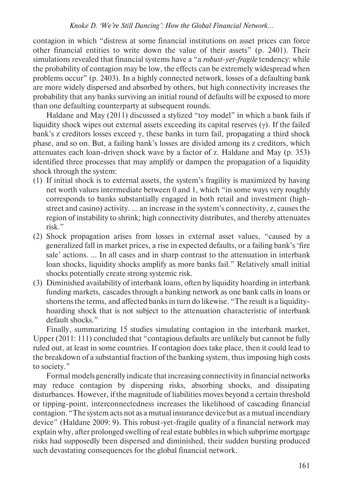contagion in which "distress at some financial institutions on asset prices can force other financial entities to write down the value of their assets" (p. 2401). Their simulations revealed that financial systems have a "a *robust-yet-fragile* tendency: while the probability of contagion may be low, the effects can be extremely widespread when problems occur" (p. 2403). In a highly connected network, losses of a defaulting bank are more widely dispersed and absorbed by others, but high connectivity increases the probability that any banks surviving an initial round of defaults will be exposed to more than one defaulting counterparty at subsequent rounds.

Haldane and May (2011) discussed a stylized "toy model" in which a bank fails if liquidity shock wipes out external assets exceeding its capital reserves  $(y)$ . If the failed bank's z creditors losses exceed  $\gamma$ , these banks in turn fail, propagating a third shock phase, and so on. But, a failing bank's losses are divided among its z creditors, which attenuates each loan-driven shock wave by a factor of z. Haldane and May (p. 353) identified three processes that may amplify or dampen the propagation of a liquidity shock through the system:

- (1) If initial shock is to external assets, the system's fragility is maximized by having net worth values intermediate between 0 and 1, which "in some ways very roughly corresponds to banks substantially engaged in both retail and investment (highstreet and casino) activity. … an increase in the system's connectivity, z, causes the region of instability to shrink; high connectivity distributes, and thereby attenuates risk."
- (2) Shock propagation arises from losses in external asset values, "caused by a generalized fall in market prices, a rise in expected defaults, or a failing bank's 'fire sale' actions. … In all cases and in sharp contrast to the attenuation in interbank loan shocks, liquidity shocks amplify as more banks fail." Relatively small initial shocks potentially create strong systemic risk.
- (3) Diminished availability of interbank loans, often by liquidity hoarding in interbank funding markets, cascades through a banking network as one bank calls in loans or shortens the terms, and affected banks in turn do likewise. "The result is a liquidityhoarding shock that is not subject to the attenuation characteristic of interbank default shocks."

Finally, summarizing 15 studies simulating contagion in the interbank market, Upper (2011: 111) concluded that "contagious defaults are unlikely but cannot be fully ruled out, at least in some countries. If contagion does take place, then it could lead to the breakdown of a substantial fraction of the banking system, thus imposing high costs to society."

Formal models generally indicate that increasing connectivity in financial networks may reduce contagion by dispersing risks, absorbing shocks, and dissipating disturbances. However, if the magnitude of liabilities moves beyond a certain threshold or tipping-point, interconnectedness increases the likelihood of cascading financial contagion. "The system acts not as a mutual insurance device but as a mutual incendiary device" (Haldane 2009: 9). This robust-yet-fragile quality of a financial network may explain why, after prolonged swelling of real estate bubbles in which subprime mortgage risks had supposedly been dispersed and diminished, their sudden bursting produced such devastating consequences for the global financial network.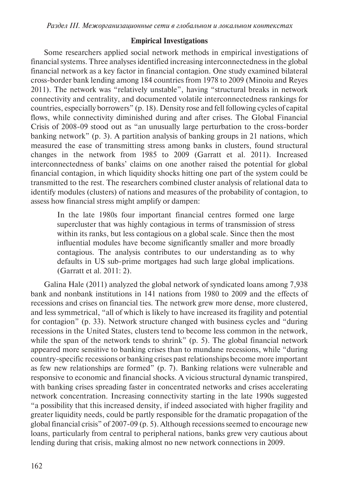## **Empirical Investigations**

Some researchers applied social network methods in empirical investigations of financial systems. Three analyses identified increasing interconnectedness in the global financial network as a key factor in financial contagion. One study examined bilateral cross-border bank lending among 184 countries from 1978 to 2009 (Minoiu and Reyes 2011). The network was "relatively unstable", having "structural breaks in network connectivity and centrality, and documented volatile interconnectedness rankings for countries, especially borrowers" (p. 18). Density rose and fell following cycles of capital flows, while connectivity diminished during and after crises. The Global Financial Crisis of 2008-09 stood out as "an unusually large perturbation to the cross-border banking network" (p. 3). A partition analysis of banking groups in 21 nations, which measured the ease of transmitting stress among banks in clusters, found structural changes in the network from 1985 to 2009 (Garratt et al. 2011). Increased interconnectedness of banks' claims on one another raised the potential for global financial contagion, in which liquidity shocks hitting one part of the system could be transmitted to the rest. The researchers combined cluster analysis of relational data to identify modules (clusters) of nations and measures of the probability of contagion, to assess how financial stress might amplify or dampen:

In the late 1980s four important financial centres formed one large supercluster that was highly contagious in terms of transmission of stress within its ranks, but less contagious on a global scale. Since then the most influential modules have become significantly smaller and more broadly contagious. The analysis contributes to our understanding as to why defaults in US sub-prime mortgages had such large global implications. (Garratt et al. 2011: 2).

Galina Hale (2011) analyzed the global network of syndicated loans among 7,938 bank and nonbank institutions in 141 nations from 1980 to 2009 and the effects of recessions and crises on financial ties. The network grew more dense, more clustered, and less symmetrical, "all of which is likely to have increased its fragility and potential for contagion" (p. 33). Network structure changed with business cycles and "during recessions in the United States, clusters tend to become less common in the network, while the span of the network tends to shrink" (p. 5). The global financial network appeared more sensitive to banking crises than to mundane recessions, while "during country-specific recessions or banking crises past relationships become more important as few new relationships are formed" (p. 7). Banking relations were vulnerable and responsive to economic and financial shocks. A vicious structural dynamic transpired, with banking crises spreading faster in concentrated networks and crises accelerating network concentration. Increasing connectivity starting in the late 1990s suggested "a possibility that this increased density, if indeed associated with higher fragility and greater liquidity needs, could be partly responsible for the dramatic propagation of the global financial crisis" of 2007-09 (p. 5). Although recessions seemed to encourage new loans, particularly from central to peripheral nations, banks grew very cautious about lending during that crisis, making almost no new network connections in 2009.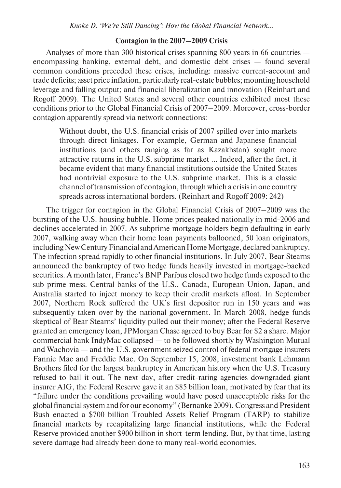*Knoke D. 'We're Still Dancing': How the Global Financial Network…*

#### **Contagion in the 2007–2009 Crisis**

Analyses of more than 300 historical crises spanning 800 years in 66 countries encompassing banking, external debt, and domestic debt crises — found several common conditions preceded these crises, including: massive current-account and trade deficits; asset price inflation, particularly real-estate bubbles; mounting household leverage and falling output; and financial liberalization and innovation (Reinhart and Rogoff 2009). The United States and several other countries exhibited most these conditions prior to the Global Financial Crisis of 2007–2009. Moreover, cross-border contagion apparently spread via network connections:

Without doubt, the U.S. financial crisis of 2007 spilled over into markets through direct linkages. For example, German and Japanese financial institutions (and others ranging as far as Kazakhstan) sought more attractive returns in the U.S. subprime market … Indeed, after the fact, it became evident that many financial institutions outside the United States had nontrivial exposure to the U.S. subprime market. This is a classic channel of transmission of contagion, through which a crisis in one country spreads across international borders. (Reinhart and Rogoff 2009: 242)

The trigger for contagion in the Global Financial Crisis of 2007–2009 was the bursting of the U.S. housing bubble. Home prices peaked nationally in mid-2006 and declines accelerated in 2007. As subprime mortgage holders begin defaulting in early 2007, walking away when their home loan payments ballooned, 50 loan originators, including New Century Financial and American Home Mortgage, declared bankruptcy. The infection spread rapidly to other financial institutions. In July 2007, Bear Stearns announced the bankruptcy of two hedge funds heavily invested in mortgage-backed securities. A month later, France's BNP Paribus closed two hedge funds exposed to the sub-prime mess. Central banks of the U.S., Canada, European Union, Japan, and Australia started to inject money to keep their credit markets afloat. In September 2007, Northern Rock suffered the UK's first depositor run in 150 years and was subsequently taken over by the national government. In March 2008, hedge funds skeptical of Bear Stearns' liquidity pulled out their money; after the Federal Reserve granted an emergency loan, JPMorgan Chase agreed to buy Bear for \$2 a share. Major commercial bank IndyMac collapsed — to be followed shortly by Washington Mutual and Wachovia — and the U.S. government seized control of federal mortgage insurers Fannie Mae and Freddie Mac. On September 15, 2008, investment bank Lehmann Brothers filed for the largest bankruptcy in American history when the U.S. Treasury refused to bail it out. The next day, after credit-rating agencies downgraded giant insurer AIG, the Federal Reserve gave it an \$85 billion loan, motivated by fear that its "failure under the conditions prevailing would have posed unacceptable risks for the global financial system and for our economy" (Bernanke 2009). Congress and President Bush enacted a \$700 billion Troubled Assets Relief Program (TARP) to stabilize financial markets by recapitalizing large financial institutions, while the Federal Reserve provided another \$900 billion in short-term lending. But, by that time, lasting severe damage had already been done to many real-world economies.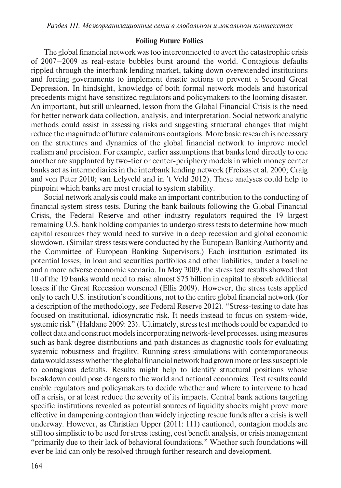## **Foiling Future Follies**

The global financial network was too interconnected to avert the catastrophic crisis of 2007–2009 as real-estate bubbles burst around the world. Contagious defaults rippled through the interbank lending market, taking down overextended institutions and forcing governments to implement drastic actions to prevent a Second Great Depression. In hindsight, knowledge of both formal network models and historical precedents might have sensitized regulators and policymakers to the looming disaster. An important, but still unlearned, lesson from the Global Financial Crisis is the need for better network data collection, analysis, and interpretation. Social network analytic methods could assist in assessing risks and suggesting structural changes that might reduce the magnitude of future calamitous contagions. More basic research is necessary on the structures and dynamics of the global financial network to improve model realism and precision. For example, earlier assumptions that banks lend directly to one another are supplanted by two-tier or center-periphery models in which money center banks act as intermediaries in the interbank lending network (Freixas et al. 2000; Craig and von Peter 2010; van Lelyveld and in 't Veld 2012). These analyses could help to pinpoint which banks are most crucial to system stability.

Social network analysis could make an important contribution to the conducting of financial system stress tests. During the bank bailouts following the Global Financial Crisis, the Federal Reserve and other industry regulators required the 19 largest remaining U.S. bank holding companies to undergo stress tests to determine how much capital resources they would need to survive in a deep recession and global economic slowdown. (Similar stress tests were conducted by the European Banking Authority and the Committee of European Banking Supervisors.) Each institution estimated its potential losses, in loan and securities portfolios and other liabilities, under a baseline and a more adverse economic scenario. In May 2009, the stress test results showed that 10 of the 19 banks would need to raise almost \$75 billion in capital to absorb additional losses if the Great Recession worsened (Ellis 2009). However, the stress tests applied only to each U.S. institution's conditions, not to the entire global financial network (for a description of the methodology, see Federal Reserve 2012). "Stress-testing to date has focused on institutional, idiosyncratic risk. It needs instead to focus on system-wide, systemic risk" (Haldane 2009: 23). Ultimately, stress test methods could be expanded to collect data and construct models incorporating network-level processes, using measures such as bank degree distributions and path distances as diagnostic tools for evaluating systemic robustness and fragility. Running stress simulations with contemporaneous data would assess whether the global financial network had grown more or less susceptible to contagious defaults. Results might help to identify structural positions whose breakdown could pose dangers to the world and national economies. Test results could enable regulators and policymakers to decide whether and where to intervene to head off a crisis, or at least reduce the severity of its impacts. Central bank actions targeting specific institutions revealed as potential sources of liquidity shocks might prove more effective in dampening contagion than widely injecting rescue funds after a crisis is well underway. However, as Christian Upper (2011: 111) cautioned, contagion models are still too simplistic to be used for stress testing, cost benefit analysis, or crisis management "primarily due to their lack of behavioral foundations." Whether such foundations will ever be laid can only be resolved through further research and development.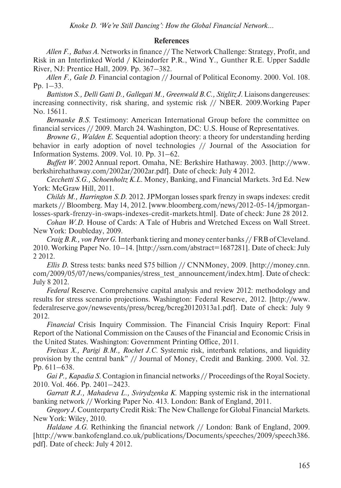### **References**

*Allen F., Babus A*. Networks in finance // The Network Challenge: Strategy, Profit, and Risk in an Interlinked World / Kleindorfer P.R., Wind Y., Gunther R.E. Upper Saddle River, NJ: Prentice Hall, 2009. Pp. 367–382.

*Allen F., Gale D*. Financial contagion // Journal of Political Economy. 2000. Vol. 108. Pp. 1–33.

*Battiston S., Delli Gatti D., Gallegati M., Greenwald B.C., Stiglitz J.* Liaisons dangereuses: increasing connectivity, risk sharing, and systemic risk // NBER. 2009.Working Paper No. 15611.

*Bernanke B.S*. Testimony: American International Group before the committee on financial services // 2009. March 24. Washington, DC: U.S. House of Representatives.

*Browne G., Walden E*. Sequential adoption theory: a theory for understanding herding behavior in early adoption of novel technologies // Journal of the Association for Information Systems. 2009. Vol. 10. Pp. 31–62.

*Buffett W.* 2002 Annual report. Omaha, NE: Berkshire Hathaway. 2003. [http://www. berkshirehathaway.com/2002ar/2002ar.pdf]. Date of check: July 4 2012.

*Cecchetti S.G., Schoenholtz K.L*. Money, Banking, and Financial Markets. 3rd Ed. New York: McGraw Hill, 2011.

*Childs M., Harrington S.D*. 2012. JPMorgan losses spark frenzy in swaps indexes: credit markets // Bloomberg. May 14, 2012. [www.bloomberg.com/news/2012-05-14/jpmorganlosses-spark-frenzy-in-swaps-indexes-credit-markets.html]. Date of check: June 28 2012.

*Cohan W.D*. House of Cards: A Tale of Hubris and Wretched Excess on Wall Street. New York: Doubleday, 2009.

*Craig B.R., von Peter G*. Interbank tiering and money center banks // FRB of Cleveland. 2010. Working Paper No. 10–14. [http://ssrn.com/abstract=1687281]. Date of check: July 2 2012.

*Ellis D*. Stress tests: banks need \$75 billion // CNNMoney, 2009. [http://money.cnn. com/2009/05/07/news/companies/stress\_test\_announcement/index.htm]. Date of check: July 8 2012.

*Federal* Reserve. Comprehensive capital analysis and review 2012: methodology and results for stress scenario projections. Washington: Federal Reserve, 2012. [http://www. federalreserve.gov/newsevents/press/bcreg/bcreg20120313a1.pdf]. Date of check: July 9 2012.

*Financial* Crisis Inquiry Commission. The Financial Crisis Inquiry Report: Final Report of the National Commission on the Causes of the Financial and Economic Crisis in the United States. Washington: Government Printing Office, 2011.

*Freixas X., Parigi B.M., Rochet J.C*. Systemic risk, interbank relations, and liquidity provision by the central bank" // Journal of Money, Credit and Banking. 2000. Vol. 32. Pp. 611–638.

*Gai P., Kapadia S*. Contagion in financial networks // Proceedings of the Royal Society. 2010. Vol. 466. Pp. 2401–2423.

*Garratt R.J., Mahadeva L., Svirydzenka K*. Mapping systemic risk in the international banking network // Working Paper No. 413. London: Bank of England, 2011.

*Gregory J*. Counterparty Credit Risk: The New Challenge for Global Financial Markets. New York: Wiley, 2010.

*Haldane A.G*. Rethinking the financial network // London: Bank of England, 2009. [http://www.bankofengland.co.uk/publications/Documents/speeches/2009/speech386. pdf]. Date of check: July 4 2012.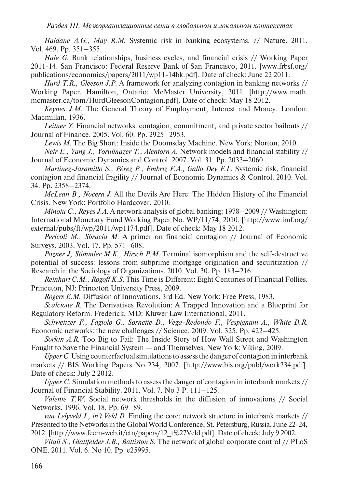*Haldane A.G., May R.M*. Systemic risk in banking ecosystems. // Nature. 2011. Vol. 469. Pp. 351–355.

*Hale G*. Bank relationships, business cycles, and financial crisis // Working Paper 2011-14. San Francisco: Federal Reserve Bank of San Francisco, 2011. [www.frbsf.org/ publications/economics/papers/2011/wp11-14bk.pdf]. Date of check: June 22 2011.

*Hurd T.R., Gleeson J.P.* A framework for analyzing contagion in banking networks // Working Paper. Hamilton, Ontario: McMaster University, 2011. [http://www.math. mcmaster.ca/tom/HurdGleesonContagion.pdf]. Date of check: May 18 2012.

*Keynes J.M*. The General Theory of Employment, Interest and Money. London: Macmillan, 1936.

*Leitner Y*. Financial networks: contagion, commitment, and private sector bailouts // Journal of Finance. 2005. Vol. 60. Pp. 2925–2953.

*Lewis M*. The Big Short: Inside the Doomsday Machine. New York: Norton, 2010.

*Neir E., Yang J., Yorulmazer T., Alentorn A*. Network models and financial stability // Journal of Economic Dynamics and Control. 2007. Vol. 31. Pp. 2033–2060.

*Martinez-Jaramillo S., Pérez P., Embriz F.A., Gallo Dey F.L*. Systemic risk, financial contagion and financial fragility // Journal of Economic Dynamics & Control. 2010. Vol. 34. Pp. 2358–2374.

*McLean B., Nocera J*. All the Devils Are Here: The Hidden History of the Financial Crisis. New York: Portfolio Hardcover, 2010.

*Minoiu C., Reyes J.A*. A network analysis of global banking: 1978–2009 // Washington: International Monetary Fund Working Paper No. WP/11/74, 2010. [http://www.imf.org/ external/pubs/ft/wp/2011/wp1174.pdf]. Date of check: May 18 2012.

*Pericoli M., Sbracia M*. A primer on financial contagion // Journal of Economic Surveys. 2003. Vol. 17. Pp. 571–608.

*Pozner J, Stimmler M.K., Hirsch P.M*. Terminal isomorphism and the self-destructive potential of success: lessons from subprime mortgage origination and securitization //

Research in the Sociology of Organizations. 2010. Vol. 30. Pp. 183–216. *Reinhart C.M., Rogoff K.S*. This Time is Different: Eight Centuries of Financial Follies.

Princeton, NJ: Princeton University Press, 2009.

*Rogers E.M*. Diffusion of Innovations. 3rd Ed. New York: Free Press, 1983.

*Scalcione R*. The Derivatives Revolution: A Trapped Innovation and a Blueprint for Regulatory Reform. Frederick, MD: Kluwer Law International, 2011.

*Schweitzer F., Fagiolo G., Sornette D., Vega-Redondo F., Vespignani A., White D.R*. Economic networks: the new challenges // Science. 2009. Vol. 325. Pp. 422–425.

*Sorkin A.R*. Too Big to Fail: The Inside Story of How Wall Street and Washington Fought to Save the Financial System — and Themselves. New York: Viking, 2009.

*Upper C*. Using counterfactual simulations to assess the danger of contagion in interbank markets // BIS Working Papers No 234, 2007. [http://www.bis.org/publ/work234.pdf]. Date of check: July 2 2012.

*Upper C*. Simulation methods to assess the danger of contagion in interbank markets // Journal of Financial Stability. 2011. Vol. 7. No 3 P. 111–125.

*Valente T.W.* Social network thresholds in the diffusion of innovations // Social Networks. 1996. Vol. 18. Pp. 69–89.

*van Lelyveld I., in't Veld D*. Finding the core: network structure in interbank markets // Presented to the Networks in the Global World Conference, St. Petersburg, Russia, June 22-24, 2012. [http://www.feem-web.it/ctn/papers/12\_t%27Veld.pdf]. Date of check: July 9 2002.

*Vitali S., Glattfelder J.B., Battiston S*. The network of global corporate control // PLoS ONE. 2011. Vol. 6. No 10. Pp. e25995.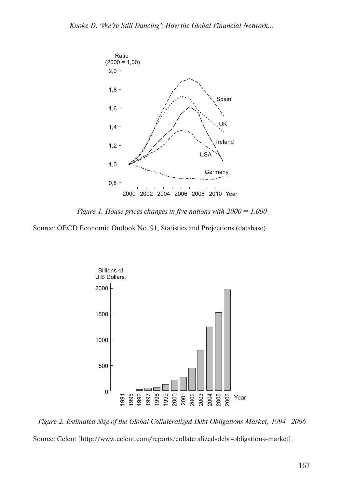

*Figure 1. House prices changes in five nations with 2000 = 1.000*

Source: OECD Economic Outlook No. 91, Statistics and Projections (database)



*Figure 2. Estimated Size of the Global Collateralized Debt Obligations Market, 1994–2006*

Source: Celent [http://www.celent.com/reports/collateralized-debt-obligations-market].